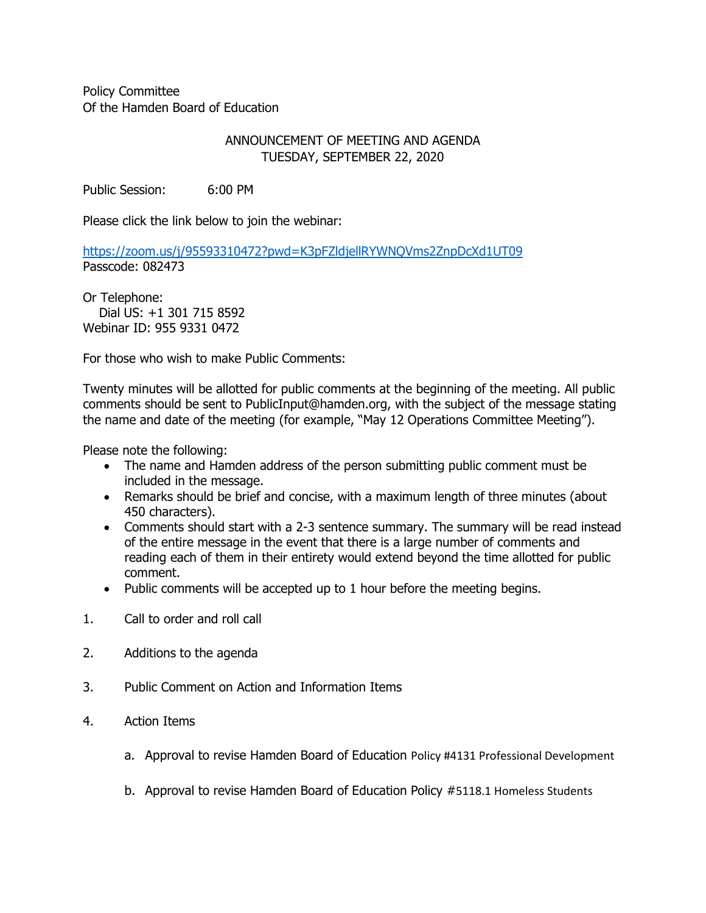Policy Committee Of the Hamden Board of Education

## ANNOUNCEMENT OF MEETING AND AGENDA TUESDAY, SEPTEMBER 22, 2020

Public Session: 6:00 PM

Please click the link below to join the webinar:

<https://zoom.us/j/95593310472?pwd=K3pFZldjellRYWNQVms2ZnpDcXd1UT09> Passcode: 082473

Or Telephone: Dial US: +1 301 715 8592 Webinar ID: 955 9331 0472

For those who wish to make Public Comments:

Twenty minutes will be allotted for public comments at the beginning of the meeting. All public comments should be sent to PublicInput@hamden.org, with the subject of the message stating the name and date of the meeting (for example, "May 12 Operations Committee Meeting").

Please note the following:

- The name and Hamden address of the person submitting public comment must be included in the message.
- Remarks should be brief and concise, with a maximum length of three minutes (about 450 characters).
- Comments should start with a 2-3 sentence summary. The summary will be read instead of the entire message in the event that there is a large number of comments and reading each of them in their entirety would extend beyond the time allotted for public comment.
- Public comments will be accepted up to 1 hour before the meeting begins.
- 1. Call to order and roll call
- 2. Additions to the agenda
- 3. Public Comment on Action and Information Items
- 4. Action Items
	- a. Approval to revise Hamden Board of Education Policy #4131 Professional Development
	- b. Approval to revise Hamden Board of Education Policy #5118.1 Homeless Students